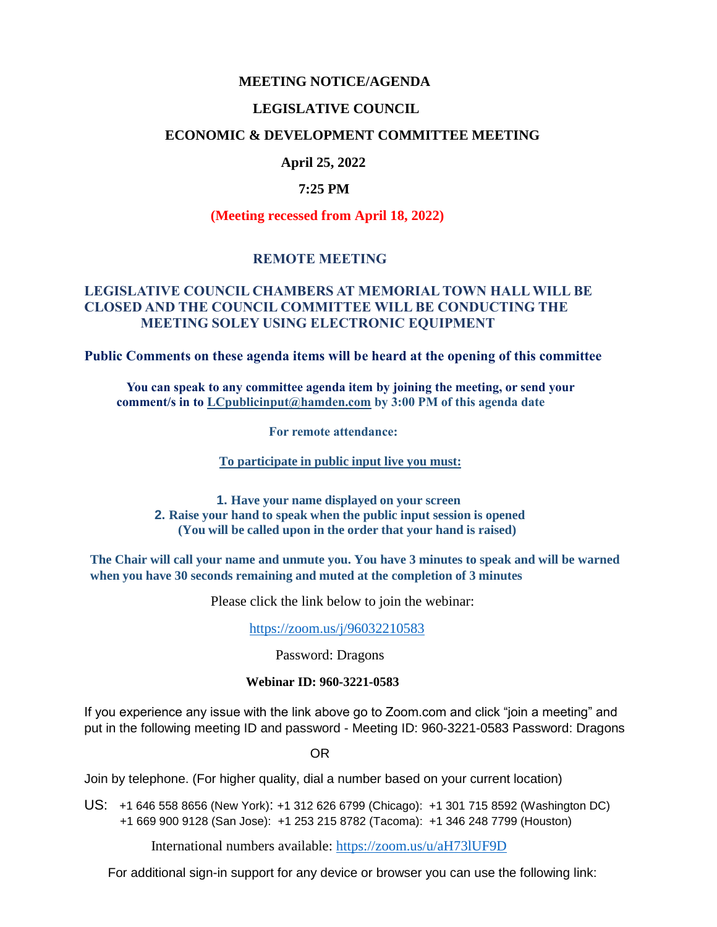### **MEETING NOTICE/AGENDA**

### **LEGISLATIVE COUNCIL**

### **ECONOMIC & DEVELOPMENT COMMITTEE MEETING**

# **April 25, 2022**

#### **7:25 PM**

#### **(Meeting recessed from April 18, 2022)**

## **REMOTE MEETING**

# **LEGISLATIVE COUNCIL CHAMBERS AT MEMORIAL TOWN HALL WILL BE CLOSED AND THE COUNCIL COMMITTEE WILL BE CONDUCTING THE MEETING SOLEY USING ELECTRONIC EQUIPMENT**

**Public Comments on these agenda items will be heard at the opening of this committee** 

 **You can speak to any committee agenda item by joining the meeting, or send your comment/s in to [LCpublicinput@hamden.com](mailto:LCpublicinput@hamden.com) by 3:00 PM of this agenda date**

 **For remote attendance:**

**To participate in public input live you must:**

**1. Have your name displayed on your screen 2. Raise your hand to speak when the public input session is opened (You will be called upon in the order that your hand is raised)**

**The Chair will call your name and unmute you. You have 3 minutes to speak and will be warned when you have 30 seconds remaining and muted at the completion of 3 minutes**

Please click the link below to join the webinar:

<https://zoom.us/j/96032210583>

Password: Dragons

#### **Webinar ID: 960-3221-0583**

If you experience any issue with the link above go to Zoom.com and click "join a meeting" and put in the following meeting ID and password - Meeting ID: 960-3221-0583 Password: Dragons

OR

Join by telephone. (For higher quality, dial a number based on your current location)

US: [+1 646 558 8656 \(New York\)](tel:+16465588656): [+1 312 626 6799 \(Chicago\):](tel:+13126266799) [+1 301 715 8592 \(Washington DC\)](tel:+13017158592) +1 669 900 9128 (San Jose): [+1 253 215 8782 \(Tacoma\):](tel:+12532158782) [+1 346 248 7799 \(Houston\)](tel:+13462487799)

International numbers available:<https://zoom.us/u/aH73lUF9D>

For additional sign-in support for any device or browser you can use the following link: